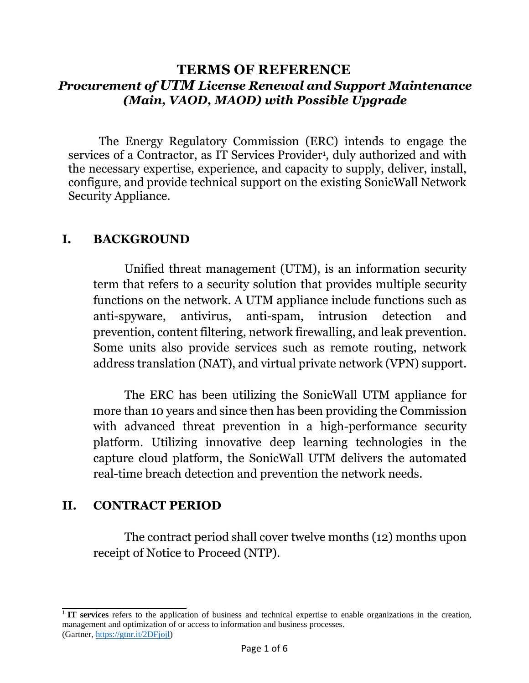# **TERMS OF REFERENCE** *Procurement of UTM License Renewal and Support Maintenance (Main, VAOD, MAOD) with Possible Upgrade*

The Energy Regulatory Commission (ERC) intends to engage the services of a Contractor, as IT Services Provider<sup>1</sup>, duly authorized and with the necessary expertise, experience, and capacity to supply, deliver, install, configure, and provide technical support on the existing SonicWall Network Security Appliance.

### **I. BACKGROUND**

Unified threat management (UTM), is an information security term that refers to a security solution that provides multiple security functions on the network. A UTM appliance include functions such as anti-spyware, antivirus, anti-spam, intrusion detection and prevention, content filtering, network firewalling, and leak prevention. Some units also provide services such as remote routing, network address translation (NAT), and virtual private network (VPN) support.

The ERC has been utilizing the SonicWall UTM appliance for more than 10 years and since then has been providing the Commission with advanced threat prevention in a high-performance security platform. Utilizing innovative deep learning technologies in the capture cloud platform, the SonicWall UTM delivers the automated real-time breach detection and prevention the network needs.

# **II. CONTRACT PERIOD**

The contract period shall cover twelve months (12) months upon receipt of Notice to Proceed (NTP).

<sup>1</sup>**IT services** refers to the application of business and technical expertise to enable organizations in the creation, management and optimization of or access to information and business processes. (Gartner, https://gtnr.it/2DFjojl)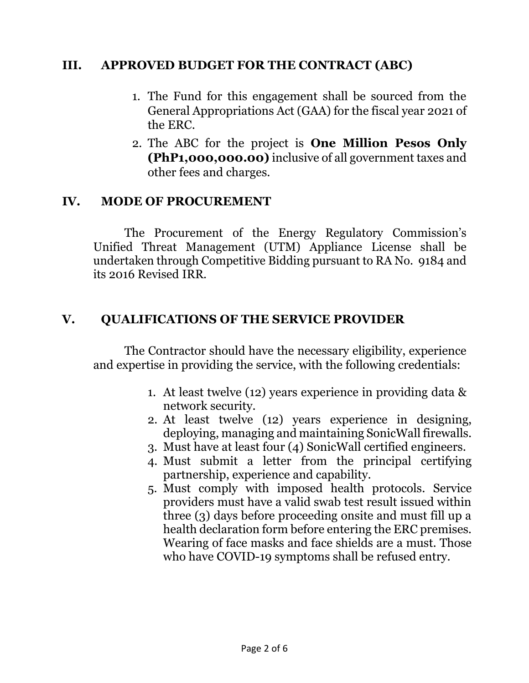## **III. APPROVED BUDGET FOR THE CONTRACT (ABC)**

- 1. The Fund for this engagement shall be sourced from the General Appropriations Act (GAA) for the fiscal year 2021 of the ERC.
- 2. The ABC for the project is **One Million Pesos Only (PhP1,000,000.00)** inclusive of all government taxes and other fees and charges.

#### **IV. MODE OF PROCUREMENT**

The Procurement of the Energy Regulatory Commission's Unified Threat Management (UTM) Appliance License shall be undertaken through Competitive Bidding pursuant to RA No. 9184 and its 2016 Revised IRR.

## **V. QUALIFICATIONS OF THE SERVICE PROVIDER**

The Contractor should have the necessary eligibility, experience and expertise in providing the service, with the following credentials:

- 1. At least twelve (12) years experience in providing data & network security.
- 2. At least twelve (12) years experience in designing, deploying, managing and maintaining SonicWall firewalls.
- 3. Must have at least four (4) SonicWall certified engineers.
- 4. Must submit a letter from the principal certifying partnership, experience and capability.
- 5. Must comply with imposed health protocols. Service providers must have a valid swab test result issued within three (3) days before proceeding onsite and must fill up a health declaration form before entering the ERC premises. Wearing of face masks and face shields are a must. Those who have COVID-19 symptoms shall be refused entry.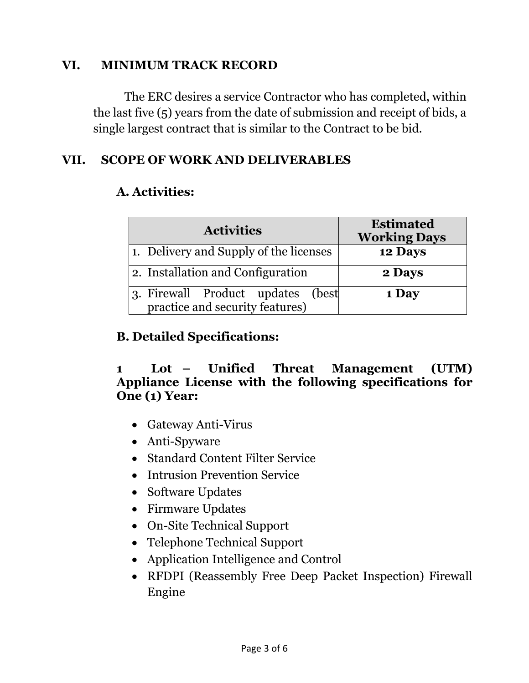### **VI. MINIMUM TRACK RECORD**

The ERC desires a service Contractor who has completed, within the last five (5) years from the date of submission and receipt of bids, a single largest contract that is similar to the Contract to be bid.

# **VII. SCOPE OF WORK AND DELIVERABLES**

# **A. Activities:**

| <b>Activities</b>                                                       | <b>Estimated</b><br><b>Working Days</b> |
|-------------------------------------------------------------------------|-----------------------------------------|
| 1. Delivery and Supply of the licenses                                  | 12 Days                                 |
| 2. Installation and Configuration                                       | 2 Days                                  |
| 3. Firewall Product updates<br>(best<br>practice and security features) | 1 Day                                   |

## **B. Detailed Specifications:**

### **1 Lot – Unified Threat Management (UTM) Appliance License with the following specifications for One (1) Year:**

- Gateway Anti-Virus
- Anti-Spyware
- Standard Content Filter Service
- Intrusion Prevention Service
- Software Updates
- Firmware Updates
- On-Site Technical Support
- Telephone Technical Support
- Application Intelligence and Control
- RFDPI (Reassembly Free Deep Packet Inspection) Firewall Engine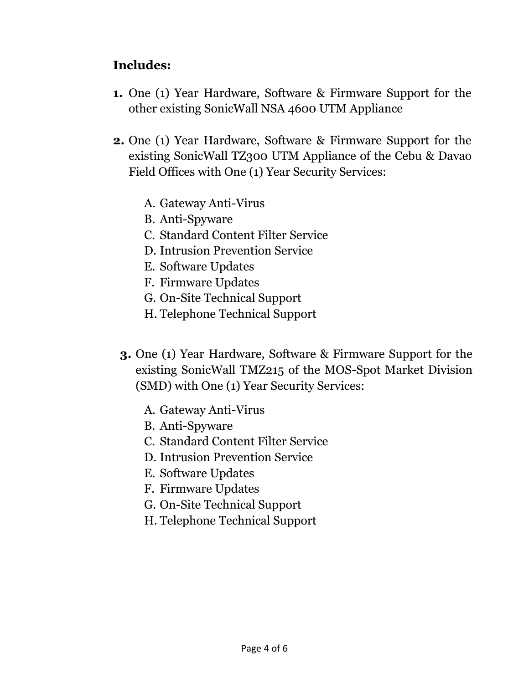# **Includes:**

- **1.** One (1) Year Hardware, Software & Firmware Support for the other existing SonicWall NSA 4600 UTM Appliance
- **2.** One (1) Year Hardware, Software & Firmware Support for the existing SonicWall TZ300 UTM Appliance of the Cebu & Davao Field Offices with One (1) Year Security Services:
	- A. Gateway Anti-Virus
	- B. Anti-Spyware
	- C. Standard Content Filter Service
	- D. Intrusion Prevention Service
	- E. Software Updates
	- F. Firmware Updates
	- G. On-Site Technical Support
	- H. Telephone Technical Support
	- **3.** One (1) Year Hardware, Software & Firmware Support for the existing SonicWall TMZ215 of the MOS-Spot Market Division (SMD) with One (1) Year Security Services:
		- A. Gateway Anti-Virus
		- B. Anti-Spyware
		- C. Standard Content Filter Service
		- D. Intrusion Prevention Service
		- E. Software Updates
		- F. Firmware Updates
		- G. On-Site Technical Support
		- H. Telephone Technical Support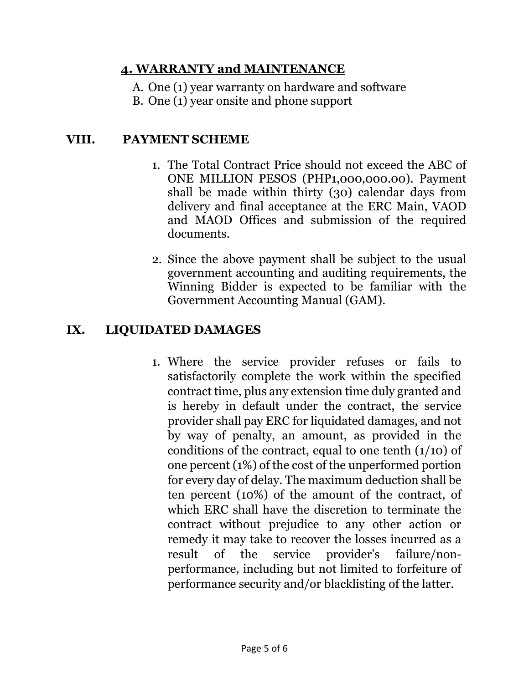## **4. WARRANTY and MAINTENANCE**

- A. One (1) year warranty on hardware and software
- B. One (1) year onsite and phone support

## **VIII. PAYMENT SCHEME**

- 1. The Total Contract Price should not exceed the ABC of ONE MILLION PESOS (PHP1,000,000.00). Payment shall be made within thirty (30) calendar days from delivery and final acceptance at the ERC Main, VAOD and MAOD Offices and submission of the required documents.
- 2. Since the above payment shall be subject to the usual government accounting and auditing requirements, the Winning Bidder is expected to be familiar with the Government Accounting Manual (GAM).

#### **IX. LIQUIDATED DAMAGES**

1. Where the service provider refuses or fails to satisfactorily complete the work within the specified contract time, plus any extension time duly granted and is hereby in default under the contract, the service provider shall pay ERC for liquidated damages, and not by way of penalty, an amount, as provided in the conditions of the contract, equal to one tenth  $(1/10)$  of one percent (1%) of the cost of the unperformed portion for every day of delay. The maximum deduction shall be ten percent (10%) of the amount of the contract, of which ERC shall have the discretion to terminate the contract without prejudice to any other action or remedy it may take to recover the losses incurred as a result of the service provider's failure/nonperformance, including but not limited to forfeiture of performance security and/or blacklisting of the latter.